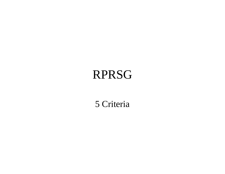# RPRSG

5 Criteria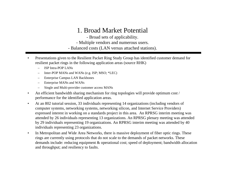#### 1. Broad Market Potential

- Broad sets of applicability.

- Multiple vendors and numerous users.

- Balanced costs (LAN versus attached stations).

- • Presentations given to the Resilient Packet Ring Study Group has identified customer demand for resilient packet rings in the following application areas (source RHK)
	- ISP Intra-POP LANs
	- Inter-POP MANs and WANs (e.g. ISP; MSO; \*LEC)
	- Enterprise Campus LAN Backbones
	- Enterprise MANs and WANs
	- Single and Multi-provider customer access MANs
- $\bullet$  An efficient bandwidth sharing mechanism for ring topologies will provide optimum cost / performance for the identified application areas.
- $\bullet$  At an 802 tutorial session, 33 individuals representing 14 organizations (including vendors of computer systems, networking systems, networking silicon, and Internet Service Providers) expressed interest in working on a standards project in this area. An RPRSG interim meeting was attended by 26 individuals representing 13 organizations. An RPRSG plenary meeting was attended by 29 individuals representing 19 organizations. An RPRSG interim meeting was attended by 40 individuals representing 23 organizations.
- $\bullet$  In Metropolitan and Wide Area Networks, there is massive deployment of fiber optic rings. These rings are currently using protocols that do not scale to the demands of packet networks. These demands include: reducing equipment & operational cost; speed of deployment; bandwidth allocation and throughput; and resiliency to faults.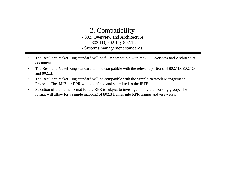## 2. Compatibility

- 802. Overview and Architecture

- 802.1D, 802.1Q, 802.1f.

- Systems management standards.
- • The Resilient Packet Ring standard will be fully compatible with the 802 Overview and Architecture document.
- • The Resilient Packet Ring standard will be compatible with the relevant portions of 802.1D, 802.1Q and 802.1f.
- • The Resilient Packet Ring standard will be compatible with the Simple Network Management Protocol. The MIB for RPR will be defined and submitted to the IETF.
- • Selection of the frame format for the RPR is subject to investigation by the working group. The format will allow for a simple mapping of 802.3 frames into RPR frames and vise-versa.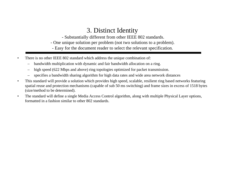### 3. Distinct Identity

- Substantially different from other IEEE 802 standards.

- One unique solution per problem (not two solutions to a problem).

- Easy for the document reader to select the relevant specification.

- • There is no other IEEE 802 standard which address the unique combination of:
	- –bandwidth multiplication with dynamic and fair bandwidth allocation on a ring.
	- –high speed (622 Mbps and above) ring topologies optimized for packet transmission.
	- –specifies a bandwidth sharing algorithm for high data rates and wide area network distances
- • This standard will provide a solution which provides high speed, scalable, resilient ring based networks featuring spatial reuse and protection mechanisms (capable of sub 50 ms switching) and frame sizes in excess of 1518 bytes (size/method to be determined).
- • The standard will define a single Media Access Control algorithm, along with multiple Physical Layer options, formatted in a fashion similar to other 802 standards.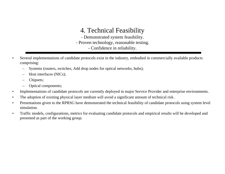## 4. Technical Feasibility

- Demonstrated system feasibility. - Proven technology, reasonable testing. - Confidence in reliability.

- • Several implementations of candidate protocols exist in the industry, embodied in commercially available products comprising:
	- –Systems (routers, switches, Add drop nodes for optical networks, hubs);
	- –Host interfaces (NICs);
	- –Chipsets;
	- –Optical components;
- •Implementations of candidate protocols are currently deployed in major Service Provider and enterprise environments.
- •The adoption of existing physical layer medium will avoid a significant amount of technical risk .
- • Presentations given to the RPRSG have demonstrated the technical feasibility of candidate protocols using system level simulation.
- $\bullet$  Traffic models, configurations, metrics for evaluating candidate protocols and empirical results will be developed and presented as part of the working group.